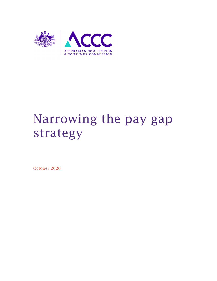

# Narrowing the pay gap strategy

October 2020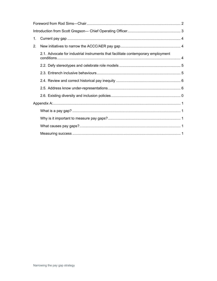| 1. |                                                                                  |  |
|----|----------------------------------------------------------------------------------|--|
| 2. |                                                                                  |  |
|    | 2.1. Advocate for industrial instruments that facilitate contemporary employment |  |
|    |                                                                                  |  |
|    |                                                                                  |  |
|    |                                                                                  |  |
|    |                                                                                  |  |
|    |                                                                                  |  |
|    |                                                                                  |  |
|    |                                                                                  |  |
|    |                                                                                  |  |
|    |                                                                                  |  |
|    |                                                                                  |  |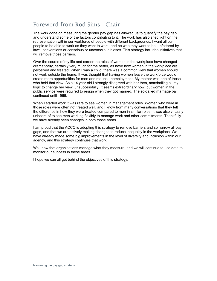# Foreword from Rod Sims―Chair

The work done on measuring the gender pay gap has allowed us to quantify the pay gap, and understand some of the factors contributing to it. The work has also shed light on the representation within our workforce of people with different backgrounds. I want all our people to be able to work as they want to work, and be who they want to be, unfettered by laws, conventions or conscious or unconscious biases. This strategy includes initiatives that will remove those barriers.

Over the course of my life and career the roles of women in the workplace have changed dramatically, certainly very much for the better, as have how women in the workplace are perceived and treated. When I was a child, there was a common view that women should not work outside the home. It was thought that having women leave the workforce would create more opportunities for men and reduce unemployment. My mother was one of those who held that view. As a 14 year old I strongly disagreed with her then, marshalling all my logic to change her view; unsuccessfully. It seems extraordinary now, but women in the public service were required to resign when they got married. The so-called marriage bar continued until 1966.

When I started work it was rare to see women in management roles. Women who were in those roles were often not treated well, and I know from many conversations that they felt the difference in how they were treated compared to men in similar roles. It was also virtually unheard of to see men working flexibly to manage work and other commitments. Thankfully we have already seen changes in both those areas.

I am proud that the ACCC is adopting this strategy to remove barriers and so narrow all pay gaps, and that we are actively making changes to reduce inequality in the workplace. We have already made some big improvements in the level of diversity and inclusion within our agency, and this strategy continues that work.

We know that organisations manage what they measure, and we will continue to use data to monitor our success in these areas.

I hope we can all get behind the objectives of this strategy.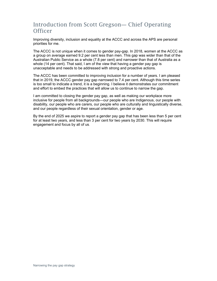# Introduction from Scott Gregson― Chief Operating **Officer**

Improving diversity, inclusion and equality at the ACCC and across the APS are personal priorities for me.

The ACCC is not unique when it comes to gender pay-gap. In 2018, women at the ACCC as a group on average earned 9.2 per cent less than men. This gap was wider than that of the Australian Public Service as a whole (7.8 per cent) and narrower than that of Australia as a whole (14 per cent). That said, I am of the view that having a gender pay gap is unacceptable and needs to be addressed with strong and proactive actions.

The ACCC has been committed to improving inclusion for a number of years. I am pleased that in 2019, the ACCC gender pay gap narrowed to 7.4 per cent. Although this time series is too small to indicate a trend, it is a beginning. I believe it demonstrates our commitment and effort to embed the practices that will allow us to continue to narrow the gap.

I am committed to closing the gender pay gap, as well as making our workplace more inclusive for people from all backgrounds―our people who are Indigenous, our people with disability, our people who are carers, our people who are culturally and linguistically diverse, and our people regardless of their sexual orientation, gender or age.

By the end of 2025 we aspire to report a gender pay gap that has been less than 5 per cent for at least two years, and less than 3 per cent for two years by 2030. This will require engagement and focus by all of us.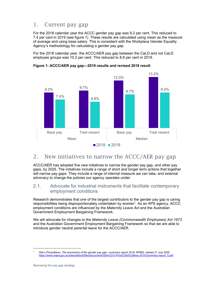# 1. Current pay gap

For the 2018 calendar year the ACCC gender pay gap was 9.2 per cent. This reduced to 7.4 per cent in 2019 (see figure 1). These results are calculated using mean as the measure of average and using base salary. This is consistent with the Workplace Gender Equality Agency's methodology for calculating a gender pay gap.

For the 2018 calendar year, the ACCC/AER pay gap between the CaLD and not CaLD employee groups was 10.2 per cent. This reduced to 8.8 per cent in 2019.

9.2% 9.7% 12.3% 13.2% 7.4% 6.8% 8.7% 9.2% Base pay Total reward Base pay Total reward Mean Median  $2018$  2019

#### **Figure 1: ACCC/AER pay gap―2019 results and revised 2018 result**

## 2. New initiatives to narrow the ACCC/AER pay gap

ACCC/AER has adopted five new initiatives to narrow the gender pay gap, and other pay gaps, by 2025. The initiatives include a range of short and longer term actions that together will narrow pay gaps. They include a range of internal measure we can take, and external advocacy to change the policies our agency operates under.

## 2.1. Advocate for industrial instruments that facilitate contemporary employment conditions

Research demonstrates that one of the largest contributors to the gender pay gap is caring responsibilities being disproportionately undertaken by women<sup>1</sup>. As an APS agency, ACCC employment conditions are influenced by the *Maternity Leave Act* and the Australian Government Employment Bargaining Framework.

We will advocate for changes to the *Maternity Leave (Commonwealth Employees) Act 1973* and the Australian Government Employment Bargaining Framework so that we are able to introduce gender neutral parental leave for the ACCC/AER.

<sup>1</sup> *She's Price(d)less. The economics of the gender pay gap―summary report 2019*, KPMG, viewed 31 July 2020. https://www.wgea.gov.au/sites/default/files/documents/She%27s-Price%28d%29less-2019-Summary-report\_0.pdf.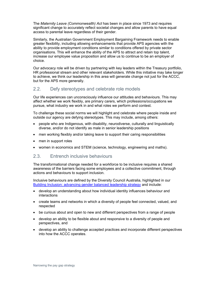The *Maternity Leave (Commonwealth) Act* has been in place since 1973 and requires significant change to accurately reflect societal changes and allow parents to have equal access to parental leave regardless of their gender.

Similarly, the Australian Government Employment Bargaining Framework needs to enable greater flexibility, including allowing enhancements that provide APS agencies with the ability to provide employment conditions similar to conditions offered by private sector organisations. This will enhance the ability of the APS to attract and retain top talent, increase our employee value proposition and allow us to continue to be an employer of choice.

Our advocacy role will be driven by partnering with key leaders within the Treasury portfolio, HR professional stream and other relevant stakeholders. While this initiative may take longer to achieve, we think our leadership in this area will generate change not just for the ACCC, but for the APS more generally.

## 2.2. Defy stereotypes and celebrate role models

Our life experiences can unconsciously influence our attitudes and behaviours. This may affect whether we work flexibly, are primary carers, which professions/occupations we pursue, what industry we work in and what roles we perform and contest.

To challenge these social norms we will highlight and celebrate where people inside and outside our agency are defying stereotypes. This may include, among others:

- people who are Indigenous, with disability, neurodiverse, culturally and linguistically diverse, and/or do not identify as male in senior leadership positions
- men working flexibly and/or taking leave to support their caring responsibilities
- men in support roles
- women in economics and STEM (science, technology, engineering and maths).

#### 2.3. Entrench inclusive behaviours

The transformational change needed for a workforce to be inclusive requires a shared awareness of the barriers facing some employees and a collective commitment, through actions and behaviours to support inclusion.

Inclusive behaviours are defined by the Diversity Council Australia, highlighted in our Building Inclusion: advancing gender balanced leadership strategy and include:

- develop an understanding about how individual identity influences behaviour and interactions
- create teams and networks in which a diversity of people feel connected, valued, and respected
- be curious about and open to new and different perspectives from a range of people
- develop an ability to be flexible about and responsive to a diversity of people and perspectives, and
- develop an ability to challenge accepted practices and incorporate different perspectives into how the ACCC operates.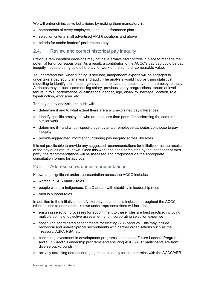We will entrench inclusive behaviours by making them mandatory in:

- components of every employee's annual performance plan
- selection criteria in all advertised APS 6 positions and above
- criteria for senior leaders' performance pay.

#### 2.4. Review and correct historical pay inequity

Previous remuneration decisions may not have always had controls in place to manage the potential for unconscious bias. As a result, a contributor to the ACCC's pay gap could be pay inequity—people being paid differently for work of the same or comparable value.

To understand this, when funding is secured, independent experts will be engaged to undertake a pay equity analysis and audit. The analysis would involve using statistical modelling to identify the impact agency and employee attributes have on an employee's pay. Attributes may include commencing salary, previous salary-progressions, tenure at level, tenure in role, performance, qualifications, gender, age, disability, heritage, location, role type/function, work area, etc.

The pay equity analysis and audit will:

- determine if and to what extent there are any unexplained pay differences
- identify specific employees who are paid less than peers for performing the same or similar work
- determine if—and what—specific agency and/or employee attributes contribute to pay inequity
- provide aggregated information including pay inequity across like roles.

It is not practicable to provide any suggested recommendations for Initiative 4 as the results of the pay audit are unknown. Once this work has been completed by the independent third party, the recommendations will be assessed and progressed via the appropriate consultation forums for approval.

#### 2.5. Address know under-representations

Known and significant under-representation across the ACCC includes:

- women in SES band 2 roles
- people who are Indigenous, CaLD and/or with disability in leadership roles
- men in support roles.

In addition to the initiatives to defy stereotypes and build inclusion throughout the ACCC, other actions to address the known under-representations will include:

- ensuring selection processes for appointment to these roles are best practice, including multiple points of objective assessment and incorporating selection expertise
- continuing coordinated secondments for existing SES band 2s. This may include reciprocal and non-reciprocal secondments with partner organisations such as the Treasury, ASIC, RBA, etc
- continuing investment in development programs such as the Future Leaders Program and SES Band 1 Leadership programs and ensuring ACCC/AER participants are from diverse backgrounds
- actively attracting and encouraging males to apply for support roles with the ACCC/AER.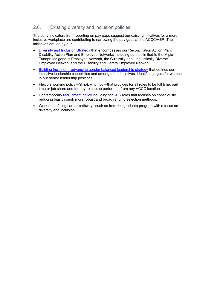## 2.6. Existing diversity and inclusion policies

The early indicators from reporting on pay gaps suggest our existing initiatives for a more inclusive workplace are contributing to narrowing the pay gaps at the ACCC/AER. The initiatives are led by our:

- Diversity and Inclusion Strategy that encompasses our Reconciliation Action Plan, Disability Action Plan and Employee Networks including but not limited to the Mipla Tunapri Indigenous Employee Network, the Culturally and Linguistically Diverse Employee Network and the Disability and Carers Employee Network.
- Building Inclusion—advancing gender balanced leadership strategy that defines our inclusive leadership capabilities and among other initiatives, identifies targets for women in our senior leadership positions.
- Flexible working policy―'if not, why not'―that provides for all roles to be full time, part time or job share and for any role to be performed from any ACCC location.
- Contemporary recruitment policy including for SES roles that focuses on consciously reducing bias through more robust and broad ranging selection methods.
- Work on defining career pathways such as from the graduate program with a focus on diversity and inclusion.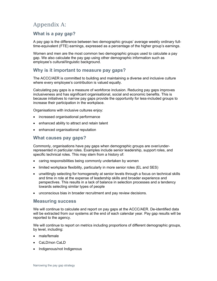# Appendix A:

## **What is a pay gap?**

A pay gap is the difference between two demographic groups' average weekly ordinary fulltime-equivalent (FTE) earnings, expressed as a percentage of the higher group's earnings.

Women and men are the most common two demographic groups used to calculate a pay gap. We also calculate the pay gap using other demographic information such as employee's cultural/linguistic background.

## **Why is it important to measure pay gaps?**

The ACCC/AER is committed to building and maintaining a diverse and inclusive culture where every employee's contribution is valued equally.

Calculating pay gaps is a measure of workforce inclusion. Reducing pay gaps improves inclusiveness and has significant organisational, social and economic benefits. This is because initiatives to narrow pay gaps provide the opportunity for less-included groups to increase their participation in the workplace.

Organisations with inclusive cultures enjoy:

- increased organisational performance
- enhanced ability to attract and retain talent
- enhanced organisational reputation

#### **What causes pay gaps?**

Commonly, organisations have pay gaps when demographic groups are over/underrepresented in particular roles. Examples include senior leadership, support roles, and specific technical roles. This may stem from a history of:

- caring responsibilities being commonly undertaken by women
- limited workplace flexibility, particularly in more senior roles (EL and SES)
- unwittingly selecting for homogeneity at senior levels through a focus on technical skills and time in role at the expense of leadership skills and broader experience and perspectives. This results in a lack of balance in selection processes and a tendency towards selecting similar types of people
- unconscious bias in broader recruitment and pay review decisions.

#### **Measuring success**

We will continue to calculate and report on pay gaps at the ACCC/AER. De-identified data will be extracted from our systems at the end of each calendar year. Pay gap results will be reported to the agency.

We will continue to report on metrics including proportions of different demographic groups, by level, including:

- male/female
- CaLD/non CaLD
- Indigenous/not Indigenous